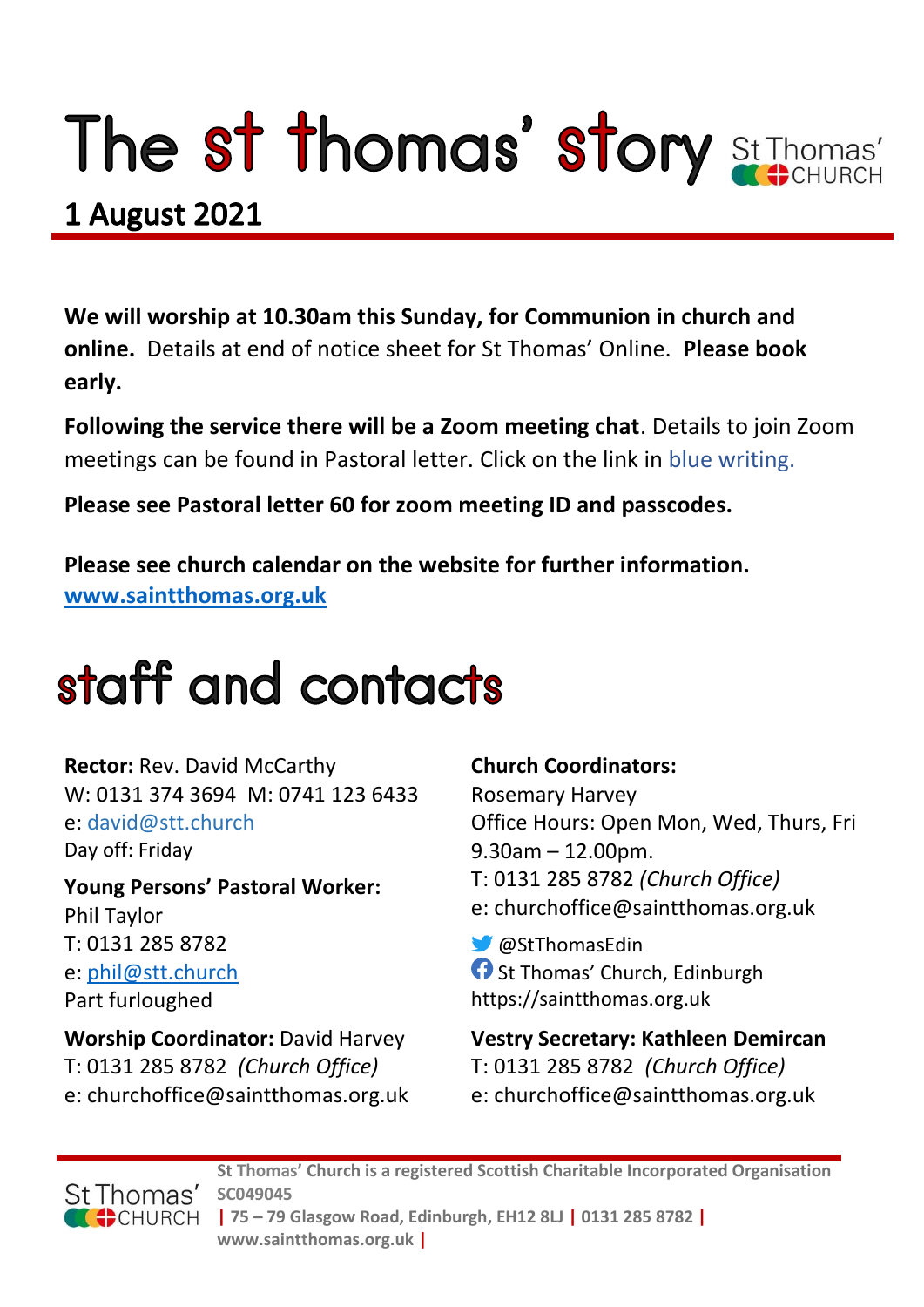# The st thomas' story St Thomas'

### **1 August 2021**

**We will worship at 10.30am this Sunday, for Communion in church and online.** Details at end of notice sheet for St Thomas' Online. **Please book early.**

**Following the service there will be a Zoom meeting chat**. Details to join Zoom meetings can be found in Pastoral letter. Click on the link in blue writing.

**Please see Pastoral letter 60 for zoom meeting ID and passcodes.**

**Please see church calendar on the website for further information. [www.saintthomas.org.uk](http://www.saintthomas.org.uk/)**

### staff and contacts

**Rector:** Rev. David McCarthy W: 0131 374 3694 M: 0741 123 6433 e: david@stt.church Day off: Friday

**Young Persons' Pastoral Worker:** Phil Taylor T: 0131 285 8782 e: [phil@stt.church](mailto:phil@stt.church) Part furloughed

**Worship Coordinator:** David Harvey T: 0131 285 8782 *(Church Office)* e: churchoffice@saintthomas.org.uk

#### **Church Coordinators:**

Rosemary Harvey Office Hours: Open Mon, Wed, Thurs, Fri 9.30am – 12.00pm. T: 0131 285 8782 *(Church Office)* e: churchoffice@saintthomas.org.uk

@StThomasEdin **f** St Thomas' Church, Edinburgh https://saintthomas.org.uk

**Vestry Secretary: Kathleen Demircan**  T: 0131 285 8782 *(Church Office)* e: churchoffice@saintthomas.org.uk



**St Thomas' Church is a registered Scottish Charitable Incorporated Organisation SC049045 | 75 – 79 Glasgow Road, Edinburgh, EH12 8LJ | 0131 285 8782 | www.saintthomas.org.uk |**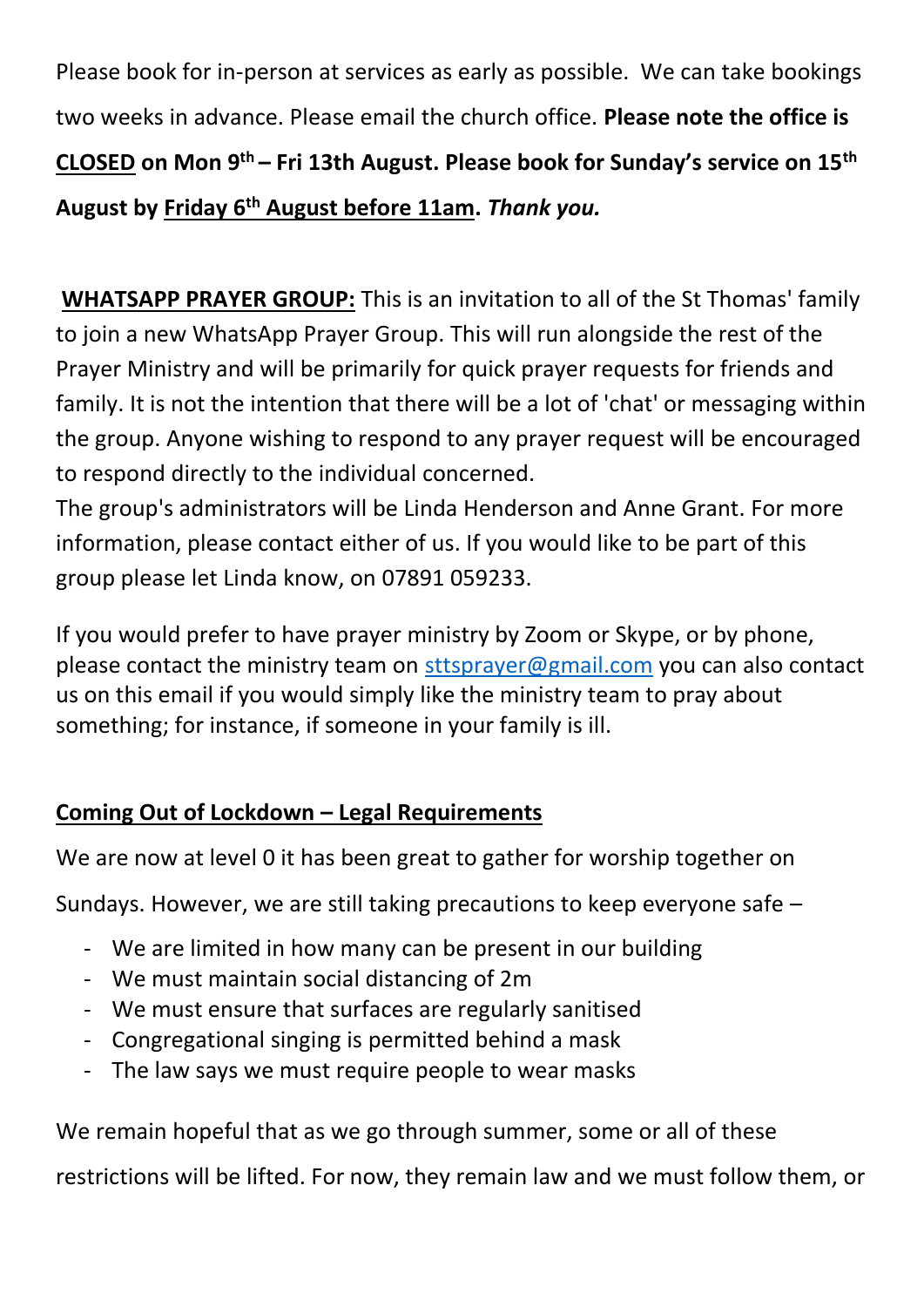Please book for in-person at services as early as possible. We can take bookings two weeks in advance. Please email the church office. **Please note the office is CLOSED on Mon 9th – Fri 13th August. Please book for Sunday's service on 15th August by Friday 6th August before 11am.** *Thank you.*

**WHATSAPP PRAYER GROUP:** This is an invitation to all of the St Thomas' family to join a new WhatsApp Prayer Group. This will run alongside the rest of the Prayer Ministry and will be primarily for quick prayer requests for friends and family. It is not the intention that there will be a lot of 'chat' or messaging within the group. Anyone wishing to respond to any prayer request will be encouraged to respond directly to the individual concerned.

The group's administrators will be Linda Henderson and Anne Grant. For more information, please contact either of us. If you would like to be part of this group please let Linda know, on 07891 059233.

If you would prefer to have prayer ministry by Zoom or Skype, or by phone, please contact the ministry team on [sttsprayer@gmail.com](mailto:sttsprayer@gmail.com) you can also contact us on this email if you would simply like the ministry team to pray about something; for instance, if someone in your family is ill.

#### **Coming Out of Lockdown – Legal Requirements**

We are now at level 0 it has been great to gather for worship together on

Sundays. However, we are still taking precautions to keep everyone safe –

- We are limited in how many can be present in our building
- We must maintain social distancing of 2m
- We must ensure that surfaces are regularly sanitised
- Congregational singing is permitted behind a mask
- The law says we must require people to wear masks

We remain hopeful that as we go through summer, some or all of these

restrictions will be lifted. For now, they remain law and we must follow them, or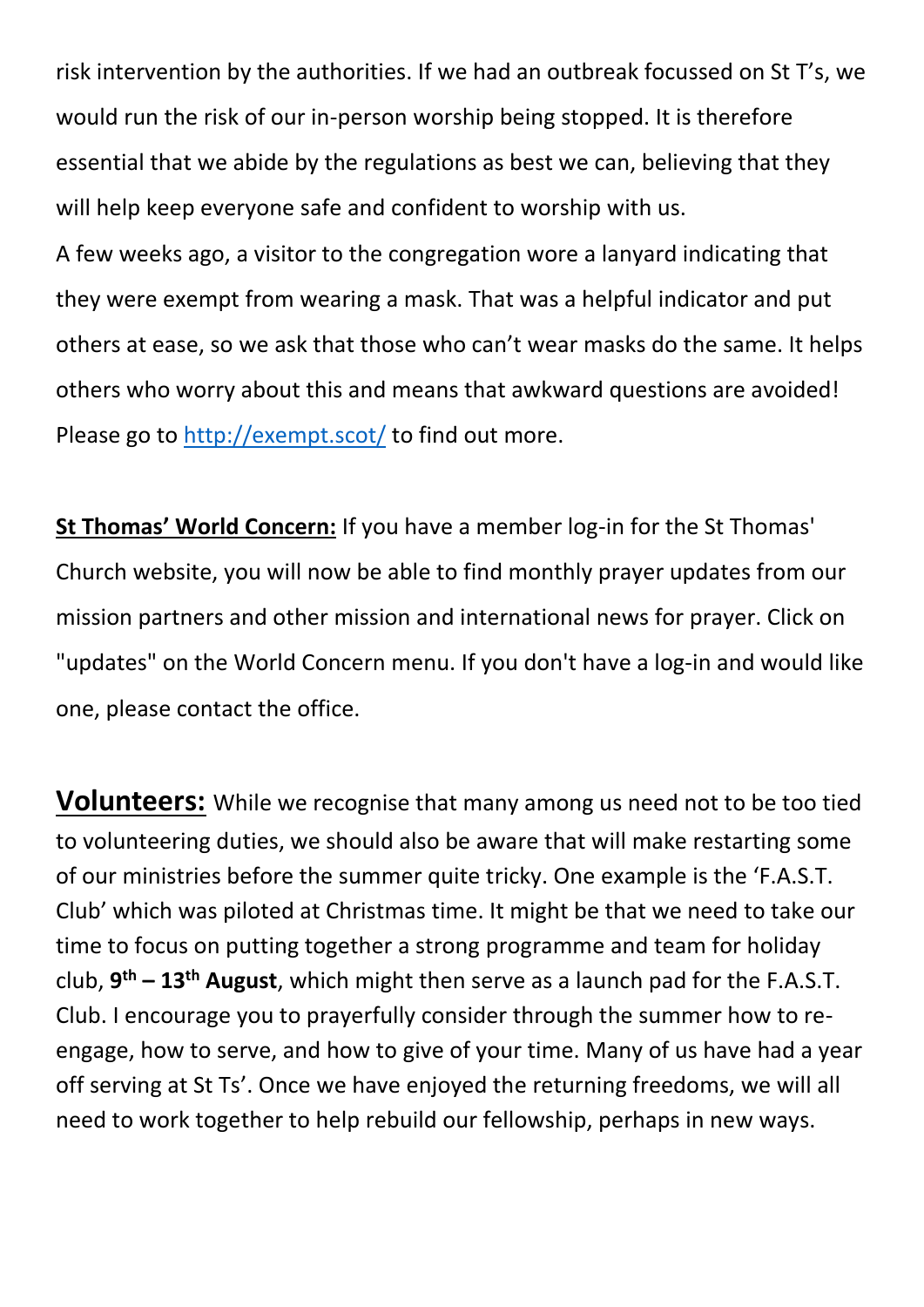risk intervention by the authorities. If we had an outbreak focussed on St T's, we would run the risk of our in-person worship being stopped. It is therefore essential that we abide by the regulations as best we can, believing that they will help keep everyone safe and confident to worship with us.

A few weeks ago, a visitor to the congregation wore a lanyard indicating that they were exempt from wearing a mask. That was a helpful indicator and put others at ease, so we ask that those who can't wear masks do the same. It helps others who worry about this and means that awkward questions are avoided! Please go to<http://exempt.scot/> to find out more.

**St Thomas' World Concern:** If you have a member log-in for the St Thomas' Church website, you will now be able to find monthly prayer updates from our mission partners and other mission and international news for prayer. Click on "updates" on the World Concern menu. If you don't have a log-in and would like one, please contact the office.

**Volunteers:** While we recognise that many among us need not to be too tied to volunteering duties, we should also be aware that will make restarting some of our ministries before the summer quite tricky. One example is the 'F.A.S.T. Club' which was piloted at Christmas time. It might be that we need to take our time to focus on putting together a strong programme and team for holiday club, **9 th – 13th August**, which might then serve as a launch pad for the F.A.S.T. Club. I encourage you to prayerfully consider through the summer how to reengage, how to serve, and how to give of your time. Many of us have had a year off serving at St Ts'. Once we have enjoyed the returning freedoms, we will all need to work together to help rebuild our fellowship, perhaps in new ways.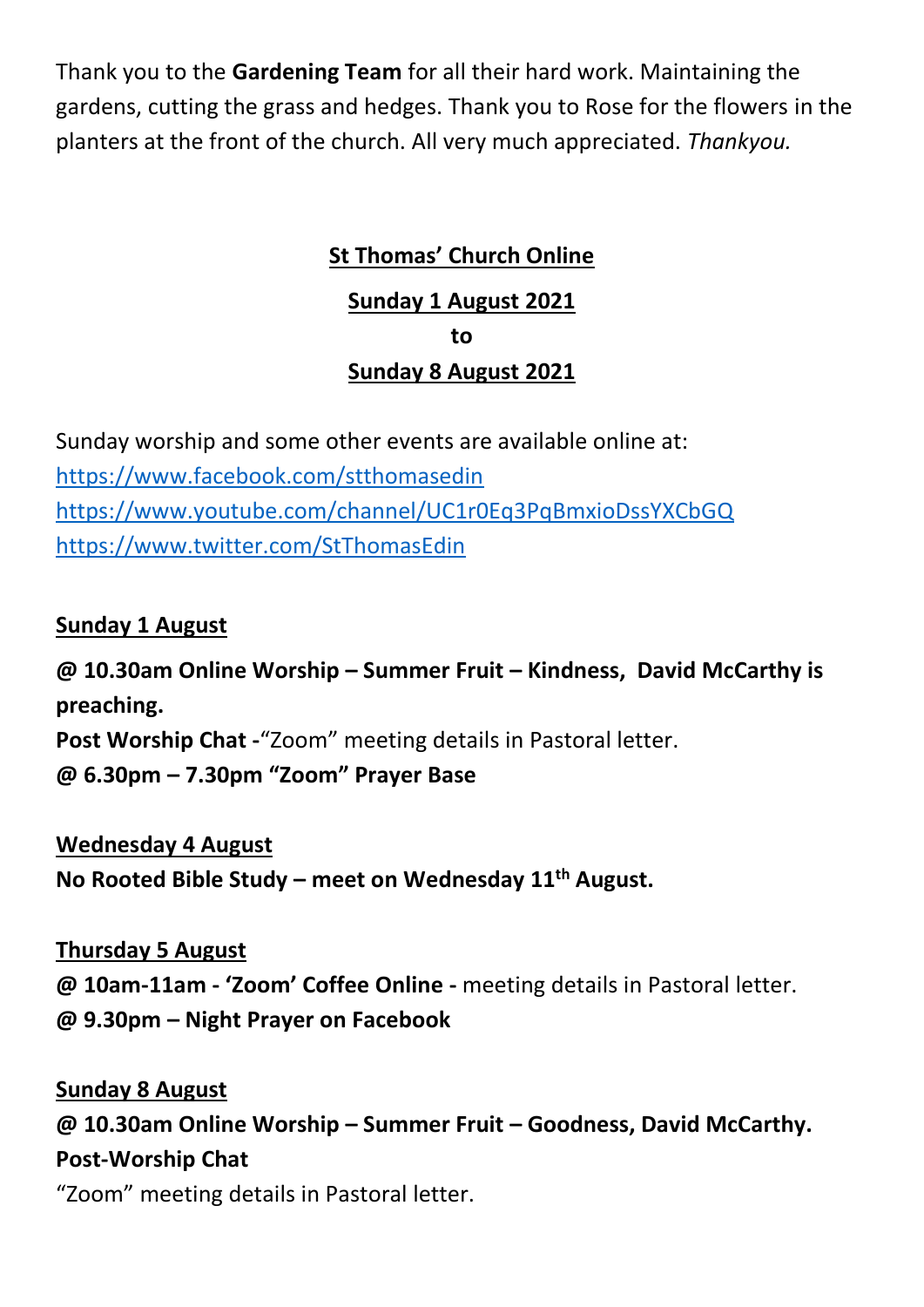Thank you to the **Gardening Team** for all their hard work. Maintaining the gardens, cutting the grass and hedges. Thank you to Rose for the flowers in the planters at the front of the church. All very much appreciated. *Thankyou.*

#### **St Thomas' Church Online**

#### **Sunday 1 August 2021 to**

#### **Sunday 8 August 2021**

Sunday worship and some other events are available online at: <https://www.facebook.com/stthomasedin> <https://www.youtube.com/channel/UC1r0Eq3PqBmxioDssYXCbGQ> <https://www.twitter.com/StThomasEdin>

#### **Sunday 1 August**

**@ 10.30am Online Worship – Summer Fruit – Kindness, David McCarthy is preaching. Post Worship Chat -**"Zoom" meeting details in Pastoral letter. **@ 6.30pm – 7.30pm "Zoom" Prayer Base**

#### **Wednesday 4 August**

**No Rooted Bible Study – meet on Wednesday 11th August.**

#### **Thursday 5 August**

**@ 10am-11am - 'Zoom' Coffee Online -** meeting details in Pastoral letter. **@ 9.30pm – Night Prayer on Facebook** 

#### **Sunday 8 August**

**@ 10.30am Online Worship – Summer Fruit – Goodness, David McCarthy. Post-Worship Chat** 

"Zoom" meeting details in Pastoral letter.